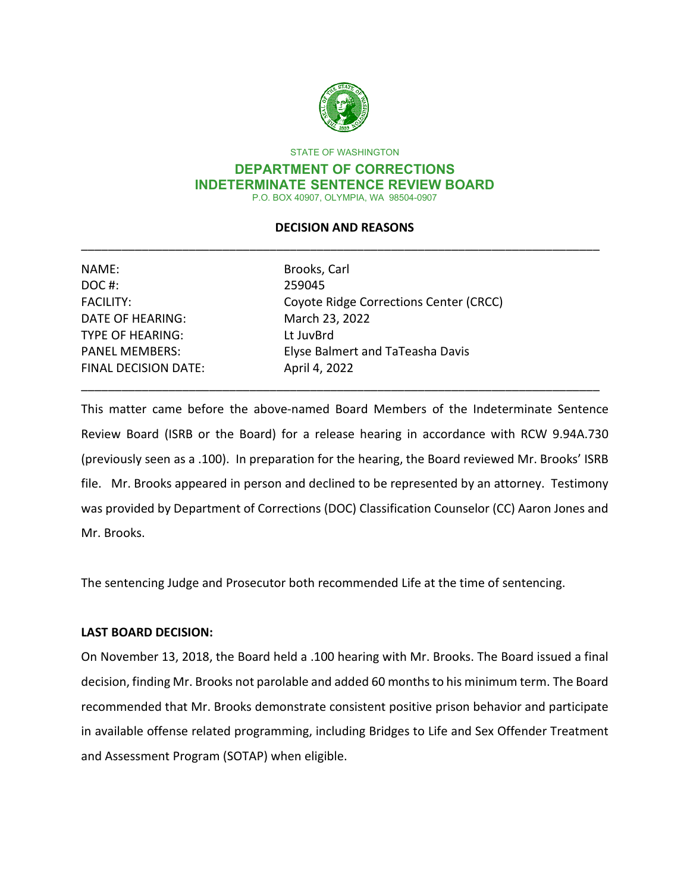

STATE OF WASHINGTON

#### **DEPARTMENT OF CORRECTIONS INDETERMINATE SENTENCE REVIEW BOARD** P.O. BOX 40907, OLYMPIA, WA 98504-0907

## **DECISION AND REASONS** \_\_\_\_\_\_\_\_\_\_\_\_\_\_\_\_\_\_\_\_\_\_\_\_\_\_\_\_\_\_\_\_\_\_\_\_\_\_\_\_\_\_\_\_\_\_\_\_\_\_\_\_\_\_\_\_\_\_\_\_\_\_\_\_\_\_\_\_\_\_\_\_\_\_\_\_\_

| NAME:                       | Brooks, Carl                           |
|-----------------------------|----------------------------------------|
| DOC#:                       | 259045                                 |
| <b>FACILITY:</b>            | Coyote Ridge Corrections Center (CRCC) |
| DATE OF HEARING:            | March 23, 2022                         |
| <b>TYPE OF HEARING:</b>     | Lt JuvBrd                              |
| <b>PANEL MEMBERS:</b>       | Elyse Balmert and TaTeasha Davis       |
| <b>FINAL DECISION DATE:</b> | April 4, 2022                          |
|                             |                                        |

This matter came before the above-named Board Members of the Indeterminate Sentence Review Board (ISRB or the Board) for a release hearing in accordance with RCW 9.94A.730 (previously seen as a .100). In preparation for the hearing, the Board reviewed Mr. Brooks' ISRB file. Mr. Brooks appeared in person and declined to be represented by an attorney. Testimony was provided by Department of Corrections (DOC) Classification Counselor (CC) Aaron Jones and Mr. Brooks.

\_\_\_\_\_\_\_\_\_\_\_\_\_\_\_\_\_\_\_\_\_\_\_\_\_\_\_\_\_\_\_\_\_\_\_\_\_\_\_\_\_\_\_\_\_\_\_\_\_\_\_\_\_\_\_\_\_\_\_\_\_\_\_\_\_\_\_\_\_\_\_\_\_\_\_\_\_

The sentencing Judge and Prosecutor both recommended Life at the time of sentencing.

### **LAST BOARD DECISION:**

On November 13, 2018, the Board held a .100 hearing with Mr. Brooks. The Board issued a final decision, finding Mr. Brooks not parolable and added 60 months to his minimum term. The Board recommended that Mr. Brooks demonstrate consistent positive prison behavior and participate in available offense related programming, including Bridges to Life and Sex Offender Treatment and Assessment Program (SOTAP) when eligible.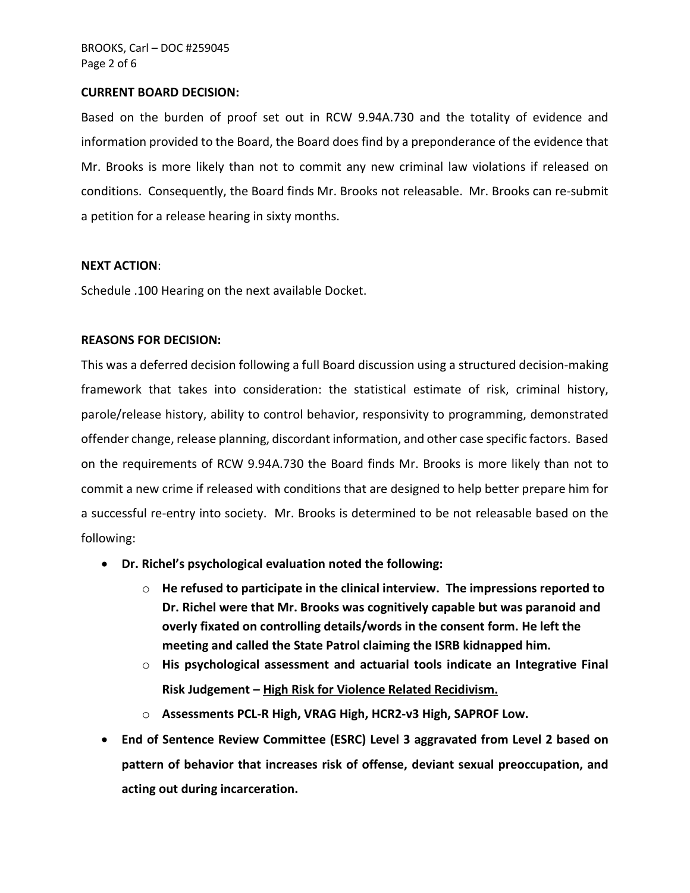#### **CURRENT BOARD DECISION:**

Based on the burden of proof set out in RCW 9.94A.730 and the totality of evidence and information provided to the Board, the Board does find by a preponderance of the evidence that Mr. Brooks is more likely than not to commit any new criminal law violations if released on conditions. Consequently, the Board finds Mr. Brooks not releasable. Mr. Brooks can re-submit a petition for a release hearing in sixty months.

#### **NEXT ACTION**:

Schedule .100 Hearing on the next available Docket.

#### **REASONS FOR DECISION:**

This was a deferred decision following a full Board discussion using a structured decision-making framework that takes into consideration: the statistical estimate of risk, criminal history, parole/release history, ability to control behavior, responsivity to programming, demonstrated offender change, release planning, discordant information, and other case specific factors. Based on the requirements of RCW 9.94A.730 the Board finds Mr. Brooks is more likely than not to commit a new crime if released with conditions that are designed to help better prepare him for a successful re-entry into society. Mr. Brooks is determined to be not releasable based on the following:

- **Dr. Richel's psychological evaluation noted the following:**
	- o **He refused to participate in the clinical interview. The impressions reported to Dr. Richel were that Mr. Brooks was cognitively capable but was paranoid and overly fixated on controlling details/words in the consent form. He left the meeting and called the State Patrol claiming the ISRB kidnapped him.**
	- o **His psychological assessment and actuarial tools indicate an Integrative Final Risk Judgement – High Risk for Violence Related Recidivism.**
	- o **Assessments PCL-R High, VRAG High, HCR2-v3 High, SAPROF Low.**
- **End of Sentence Review Committee (ESRC) Level 3 aggravated from Level 2 based on pattern of behavior that increases risk of offense, deviant sexual preoccupation, and acting out during incarceration.**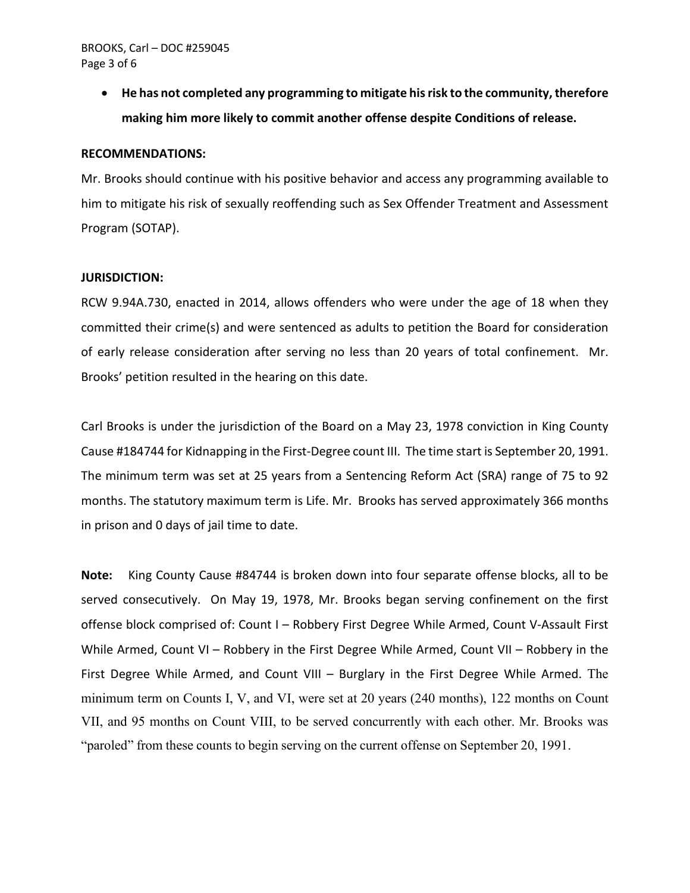#### BROOKS, Carl – DOC #259045 Page 3 of 6

• **He has not completed any programming to mitigate his risk to the community, therefore making him more likely to commit another offense despite Conditions of release.**

#### **RECOMMENDATIONS:**

Mr. Brooks should continue with his positive behavior and access any programming available to him to mitigate his risk of sexually reoffending such as Sex Offender Treatment and Assessment Program (SOTAP).

#### **JURISDICTION:**

RCW 9.94A.730, enacted in 2014, allows offenders who were under the age of 18 when they committed their crime(s) and were sentenced as adults to petition the Board for consideration of early release consideration after serving no less than 20 years of total confinement. Mr. Brooks' petition resulted in the hearing on this date.

Carl Brooks is under the jurisdiction of the Board on a May 23, 1978 conviction in King County Cause #184744 for Kidnapping in the First-Degree count III. The time start is September 20, 1991. The minimum term was set at 25 years from a Sentencing Reform Act (SRA) range of 75 to 92 months. The statutory maximum term is Life. Mr. Brooks has served approximately 366 months in prison and 0 days of jail time to date.

**Note:** King County Cause #84744 is broken down into four separate offense blocks, all to be served consecutively. On May 19, 1978, Mr. Brooks began serving confinement on the first offense block comprised of: Count I – Robbery First Degree While Armed, Count V-Assault First While Armed, Count VI – Robbery in the First Degree While Armed, Count VII – Robbery in the First Degree While Armed, and Count VIII – Burglary in the First Degree While Armed. The minimum term on Counts I, V, and VI, were set at 20 years (240 months), 122 months on Count VII, and 95 months on Count VIII, to be served concurrently with each other. Mr. Brooks was "paroled" from these counts to begin serving on the current offense on September 20, 1991.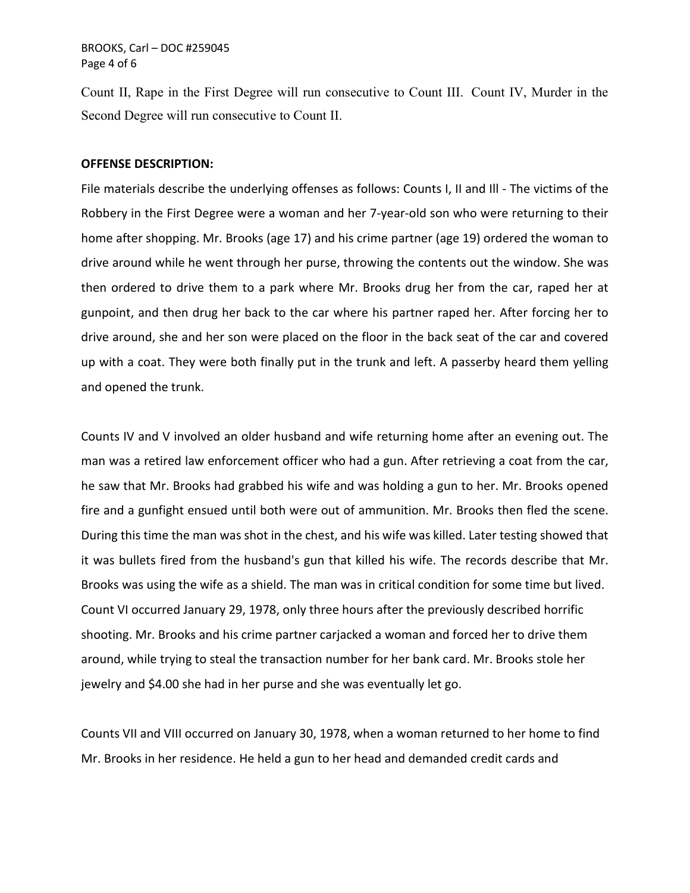BROOKS, Carl – DOC #259045 Page 4 of 6

Count II, Rape in the First Degree will run consecutive to Count III. Count IV, Murder in the Second Degree will run consecutive to Count II.

#### **OFFENSE DESCRIPTION:**

File materials describe the underlying offenses as follows: Counts I, II and Ill - The victims of the Robbery in the First Degree were a woman and her 7-year-old son who were returning to their home after shopping. Mr. Brooks (age 17) and his crime partner (age 19) ordered the woman to drive around while he went through her purse, throwing the contents out the window. She was then ordered to drive them to a park where Mr. Brooks drug her from the car, raped her at gunpoint, and then drug her back to the car where his partner raped her. After forcing her to drive around, she and her son were placed on the floor in the back seat of the car and covered up with a coat. They were both finally put in the trunk and left. A passerby heard them yelling and opened the trunk.

Counts IV and V involved an older husband and wife returning home after an evening out. The man was a retired law enforcement officer who had a gun. After retrieving a coat from the car, he saw that Mr. Brooks had grabbed his wife and was holding a gun to her. Mr. Brooks opened fire and a gunfight ensued until both were out of ammunition. Mr. Brooks then fled the scene. During this time the man was shot in the chest, and his wife was killed. Later testing showed that it was bullets fired from the husband's gun that killed his wife. The records describe that Mr. Brooks was using the wife as a shield. The man was in critical condition for some time but lived. Count VI occurred January 29, 1978, only three hours after the previously described horrific shooting. Mr. Brooks and his crime partner carjacked a woman and forced her to drive them around, while trying to steal the transaction number for her bank card. Mr. Brooks stole her jewelry and \$4.00 she had in her purse and she was eventually let go.

Counts VII and VIII occurred on January 30, 1978, when a woman returned to her home to find Mr. Brooks in her residence. He held a gun to her head and demanded credit cards and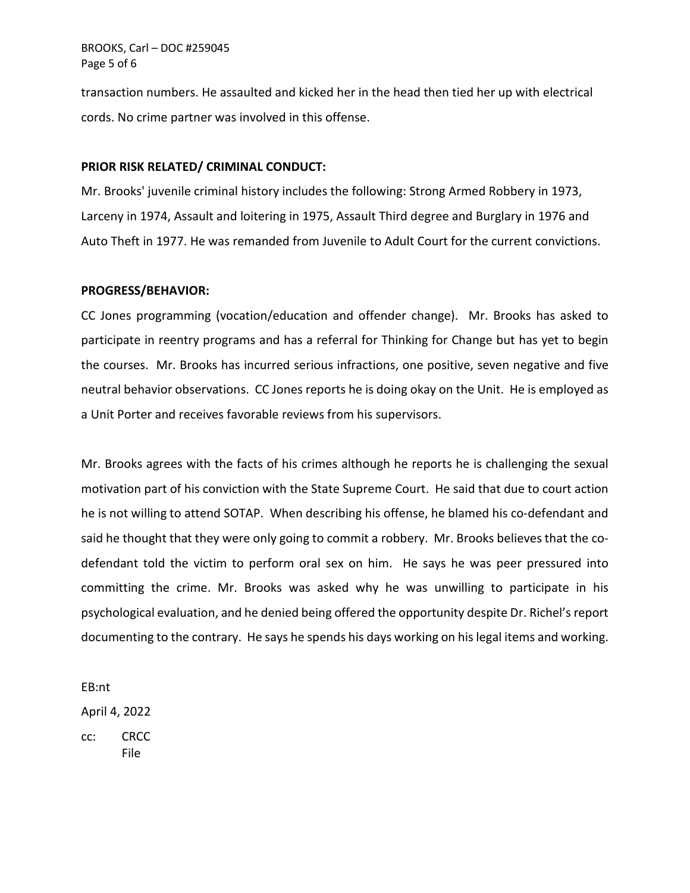BROOKS, Carl – DOC #259045 Page 5 of 6

transaction numbers. He assaulted and kicked her in the head then tied her up with electrical cords. No crime partner was involved in this offense.

#### **PRIOR RISK RELATED/ CRIMINAL CONDUCT:**

Mr. Brooks' juvenile criminal history includes the following: Strong Armed Robbery in 1973, Larceny in 1974, Assault and loitering in 1975, Assault Third degree and Burglary in 1976 and Auto Theft in 1977. He was remanded from Juvenile to Adult Court for the current convictions.

#### **PROGRESS/BEHAVIOR:**

CC Jones programming (vocation/education and offender change). Mr. Brooks has asked to participate in reentry programs and has a referral for Thinking for Change but has yet to begin the courses. Mr. Brooks has incurred serious infractions, one positive, seven negative and five neutral behavior observations. CC Jones reports he is doing okay on the Unit. He is employed as a Unit Porter and receives favorable reviews from his supervisors.

Mr. Brooks agrees with the facts of his crimes although he reports he is challenging the sexual motivation part of his conviction with the State Supreme Court. He said that due to court action he is not willing to attend SOTAP. When describing his offense, he blamed his co-defendant and said he thought that they were only going to commit a robbery. Mr. Brooks believes that the codefendant told the victim to perform oral sex on him. He says he was peer pressured into committing the crime. Mr. Brooks was asked why he was unwilling to participate in his psychological evaluation, and he denied being offered the opportunity despite Dr. Richel's report documenting to the contrary. He says he spends his days working on his legal items and working.

EB:nt April 4, 2022

cc: CRCC File